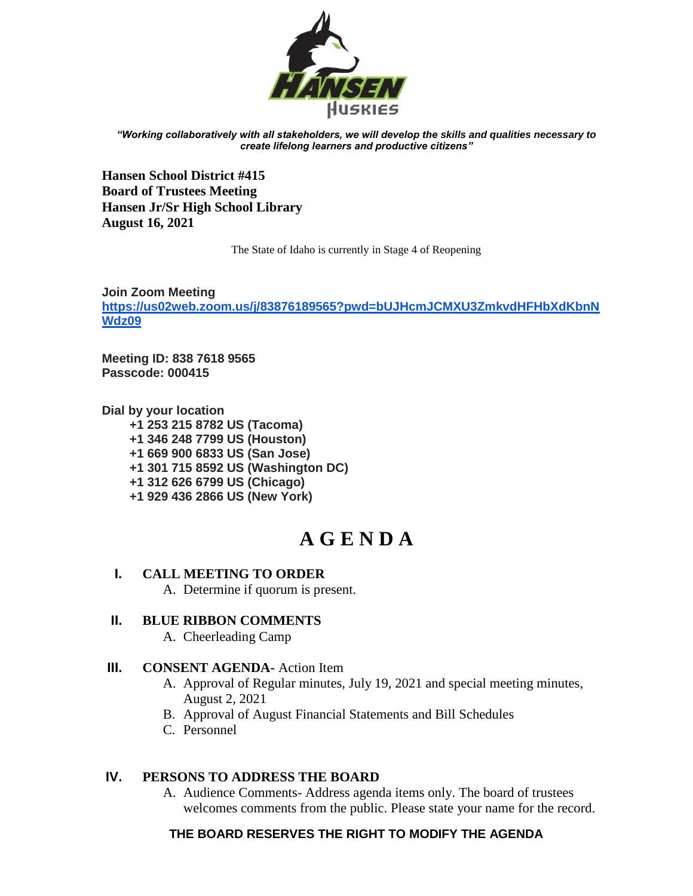

*"Working collaboratively with all stakeholders, we will develop the skills and qualities necessary to create lifelong learners and productive citizens"*

**Hansen School District #415 Board of Trustees Meeting Hansen Jr/Sr High School Library August 16, 2021** 

The State of Idaho is currently in Stage 4 of Reopening

**Join Zoom Meeting [https://us02web.zoom.us/j/83876189565?pwd=bUJHcmJCMXU3ZmkvdHFHbXdKbnN](https://us02web.zoom.us/j/83876189565?pwd=bUJHcmJCMXU3ZmkvdHFHbXdKbnNWdz09) [Wdz09](https://us02web.zoom.us/j/83876189565?pwd=bUJHcmJCMXU3ZmkvdHFHbXdKbnNWdz09)**

**Meeting ID: 838 7618 9565 Passcode: 000415**

**Dial by your location +1 253 215 8782 US (Tacoma) +1 346 248 7799 US (Houston) +1 669 900 6833 US (San Jose) +1 301 715 8592 US (Washington DC) +1 312 626 6799 US (Chicago) +1 929 436 2866 US (New York)**

# **A G E N D A**

# **I. CALL MEETING TO ORDER**

A. Determine if quorum is present.

# **II. BLUE RIBBON COMMENTS**

A. Cheerleading Camp

# **III. CONSENT AGENDA-** Action Item

A. Approval of Regular minutes, July 19, 2021 and special meeting minutes, August 2, 2021

B. Approval of August Financial Statements and Bill Schedules

C. Personnel

# **IV. PERSONS TO ADDRESS THE BOARD**

A. Audience Comments- Address agenda items only. The board of trustees welcomes comments from the public. Please state your name for the record.

# **THE BOARD RESERVES THE RIGHT TO MODIFY THE AGENDA**